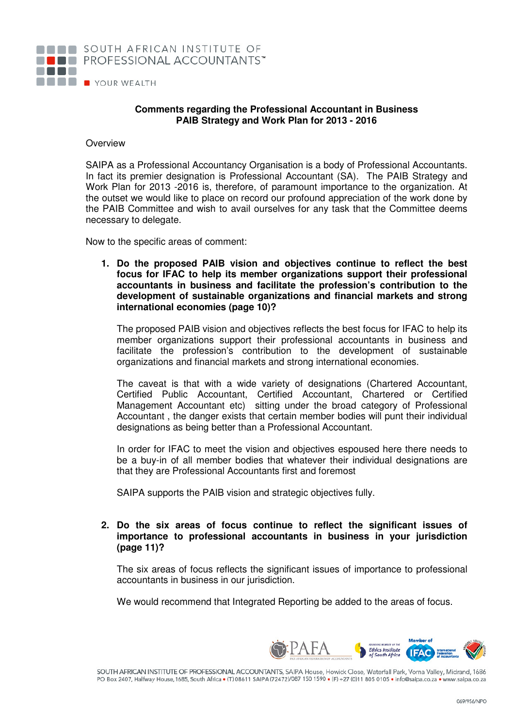

## **Comments regarding the Professional Accountant in Business PAIB Strategy and Work Plan for 2013 - 2016**

## **Overview**

SAIPA as a Professional Accountancy Organisation is a body of Professional Accountants. In fact its premier designation is Professional Accountant (SA). The PAIB Strategy and Work Plan for 2013 -2016 is, therefore, of paramount importance to the organization. At the outset we would like to place on record our profound appreciation of the work done by the PAIB Committee and wish to avail ourselves for any task that the Committee deems necessary to delegate.

Now to the specific areas of comment:

**1. Do the proposed PAIB vision and objectives continue to reflect the best focus for IFAC to help its member organizations support their professional accountants in business and facilitate the profession's contribution to the development of sustainable organizations and financial markets and strong international economies (page 10)?** 

The proposed PAIB vision and objectives reflects the best focus for IFAC to help its member organizations support their professional accountants in business and facilitate the profession's contribution to the development of sustainable organizations and financial markets and strong international economies.

The caveat is that with a wide variety of designations (Chartered Accountant, Certified Public Accountant, Certified Accountant, Chartered or Certified Management Accountant etc) sitting under the broad category of Professional Accountant , the danger exists that certain member bodies will punt their individual designations as being better than a Professional Accountant.

In order for IFAC to meet the vision and objectives espoused here there needs to be a buy-in of all member bodies that whatever their individual designations are that they are Professional Accountants first and foremost

SAIPA supports the PAIB vision and strategic objectives fully.

## **2. Do the six areas of focus continue to reflect the significant issues of importance to professional accountants in business in your jurisdiction (page 11)?**

The six areas of focus reflects the significant issues of importance to professional accountants in business in our jurisdiction.

We would recommend that Integrated Reporting be added to the areas of focus.



SOUTH AFRICAN INSTITUTE OF PROFESSIONAL ACCOUNTANTS, SAIPA House, Howick Close, Waterfall Park, Vorna Valley, Midrand, 1686 PO Box 2407, Halfway House, 1685, South Africa . (T) 08611 SAIPA(72472)/087 150 1590 . (F) +27 (0)11 805 0105 . info@saipa.co.za . www.saipa.co.za